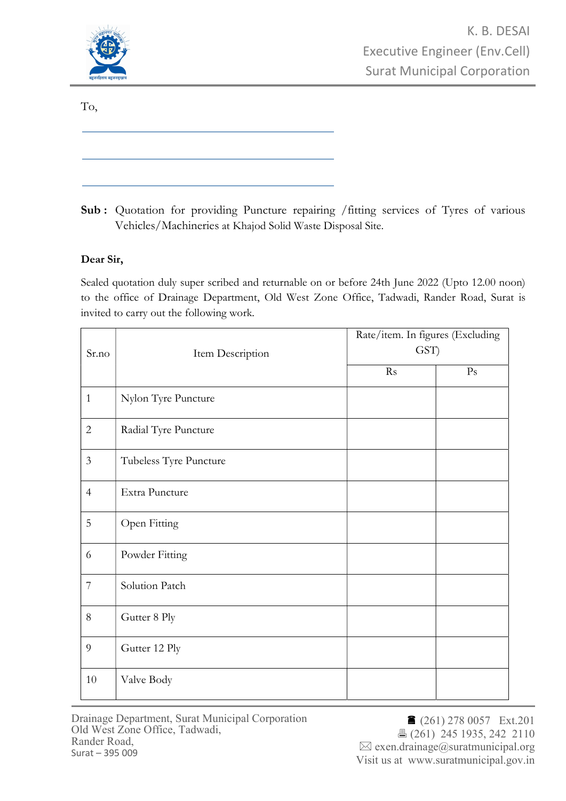

To,

Sub: Quotation for providing Puncture repairing /fitting services of Tyres of various Vehicles/Machineries at Khajod Solid Waste Disposal Site.

## Dear Sir,

Sealed quotation duly super scribed and returnable on or before 24th June 2022 (Upto 12.00 noon) to the office of Drainage Department, Old West Zone Office, Tadwadi, Rander Road, Surat is invited to carry out the following work.

| Sr.no          | Item Description       | Rate/item. In figures (Excluding<br>GST) |                |
|----------------|------------------------|------------------------------------------|----------------|
|                |                        | Rs                                       | P <sub>S</sub> |
| $\mathbf{1}$   | Nylon Tyre Puncture    |                                          |                |
| $\overline{2}$ | Radial Tyre Puncture   |                                          |                |
| $\mathfrak{Z}$ | Tubeless Tyre Puncture |                                          |                |
| $\overline{4}$ | Extra Puncture         |                                          |                |
| 5              | Open Fitting           |                                          |                |
| 6              | Powder Fitting         |                                          |                |
| $\overline{7}$ | Solution Patch         |                                          |                |
| $8\,$          | Gutter 8 Ply           |                                          |                |
| 9              | Gutter 12 Ply          |                                          |                |
| 10             | Valve Body             |                                          |                |

Drainage Department, Surat Municipal Corporation Old West Zone Office, Tadwadi, Rander Road, Surat – 395 009

■ (261) 278 0057 Ext.201 (261) 245 1935, 242 2110  $\boxtimes$  exen.drainage@suratmunicipal.org Visit us at www.suratmunicipal.gov.in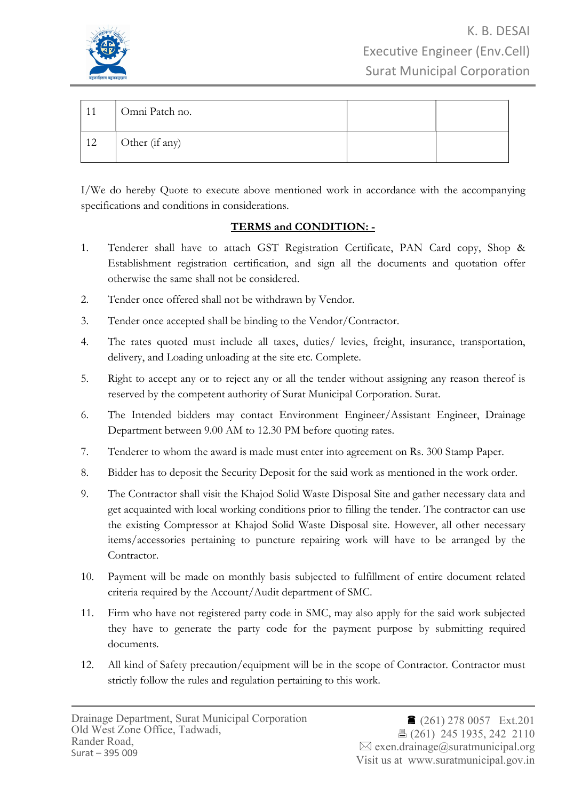

| -11 | Omni Patch no. |  |
|-----|----------------|--|
| 12  | Other (if any) |  |

I/We do hereby Quote to execute above mentioned work in accordance with the accompanying specifications and conditions in considerations.

## TERMS and CONDITION: -

- 1. Tenderer shall have to attach GST Registration Certificate, PAN Card copy, Shop & Establishment registration certification, and sign all the documents and quotation offer otherwise the same shall not be considered.
- 2. Tender once offered shall not be withdrawn by Vendor.
- 3. Tender once accepted shall be binding to the Vendor/Contractor.
- 4. The rates quoted must include all taxes, duties/ levies, freight, insurance, transportation, delivery, and Loading unloading at the site etc. Complete.
- 5. Right to accept any or to reject any or all the tender without assigning any reason thereof is reserved by the competent authority of Surat Municipal Corporation. Surat.
- 6. The Intended bidders may contact Environment Engineer/Assistant Engineer, Drainage Department between 9.00 AM to 12.30 PM before quoting rates.
- 7. Tenderer to whom the award is made must enter into agreement on Rs. 300 Stamp Paper.
- 8. Bidder has to deposit the Security Deposit for the said work as mentioned in the work order.
- 9. The Contractor shall visit the Khajod Solid Waste Disposal Site and gather necessary data and get acquainted with local working conditions prior to filling the tender. The contractor can use the existing Compressor at Khajod Solid Waste Disposal site. However, all other necessary items/accessories pertaining to puncture repairing work will have to be arranged by the Contractor.
- 10. Payment will be made on monthly basis subjected to fulfillment of entire document related criteria required by the Account/Audit department of SMC.
- 11. Firm who have not registered party code in SMC, may also apply for the said work subjected they have to generate the party code for the payment purpose by submitting required documents.
- 12. All kind of Safety precaution/equipment will be in the scope of Contractor. Contractor must strictly follow the rules and regulation pertaining to this work.